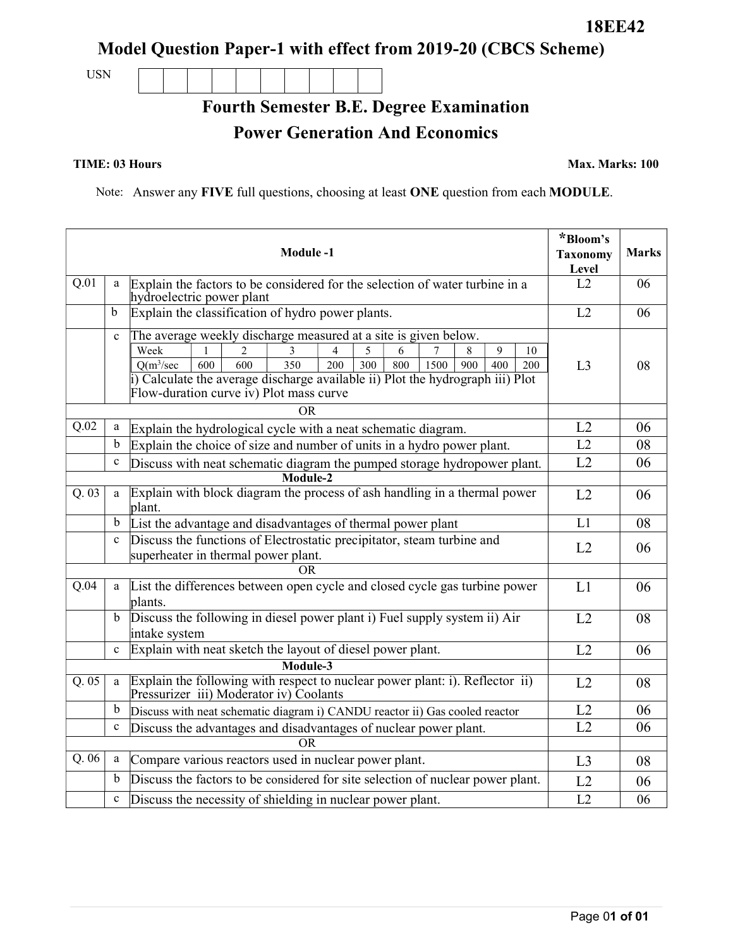Model Question Paper-1 with effect from 2019-20 (CBCS Scheme)

USN

Fourth Semester B.E. Degree Examination

Power Generation And Economics

TIME: 03 Hours Max. Marks: 100

Note: Answer any FIVE full questions, choosing at least ONE question from each MODULE.

|       |             | <b>Module-1</b>                                                                                                                                                                                                                                                                                                                  | *Bloom's<br><b>Taxonomy</b><br>Level | <b>Marks</b> |
|-------|-------------|----------------------------------------------------------------------------------------------------------------------------------------------------------------------------------------------------------------------------------------------------------------------------------------------------------------------------------|--------------------------------------|--------------|
| Q.01  | a           | Explain the factors to be considered for the selection of water turbine in a<br>hydroelectric power plant                                                                                                                                                                                                                        | L2                                   | 06           |
|       | b           | Explain the classification of hydro power plants.                                                                                                                                                                                                                                                                                | L2                                   | 06           |
|       | $\mathbf c$ | The average weekly discharge measured at a site is given below.<br>Week<br>9<br>3<br>4<br>6<br>8<br>10<br>2<br>5<br>600<br>200<br>$Q(m^3/sec$<br>600<br>350<br>300<br>800<br>1500<br>900<br>400<br>200<br>Calculate the average discharge available ii) Plot the hydrograph iii) Plot<br>Flow-duration curve iv) Plot mass curve | L <sub>3</sub>                       | 08           |
|       |             | OR                                                                                                                                                                                                                                                                                                                               |                                      |              |
| Q.02  | a           | Explain the hydrological cycle with a neat schematic diagram.                                                                                                                                                                                                                                                                    | L2                                   | 06           |
|       | b           | Explain the choice of size and number of units in a hydro power plant.                                                                                                                                                                                                                                                           | L2                                   | 08           |
|       | $\mathbf c$ | Discuss with neat schematic diagram the pumped storage hydropower plant.<br>Module-2                                                                                                                                                                                                                                             | L2                                   | 06           |
| Q. 03 | a           | Explain with block diagram the process of ash handling in a thermal power<br>plant.                                                                                                                                                                                                                                              | L2                                   | 06           |
|       | $\mathbf b$ | List the advantage and disadvantages of thermal power plant                                                                                                                                                                                                                                                                      | L1                                   | 08           |
|       | $\mathbf c$ | Discuss the functions of Electrostatic precipitator, steam turbine and<br>superheater in thermal power plant.                                                                                                                                                                                                                    | L2                                   | 06           |
| OR    |             |                                                                                                                                                                                                                                                                                                                                  |                                      |              |
| Q.04  | a           | List the differences between open cycle and closed cycle gas turbine power<br>plants.                                                                                                                                                                                                                                            | L1                                   | 06           |
|       | $\mathbf b$ | Discuss the following in diesel power plant i) Fuel supply system ii) Air<br>intake system                                                                                                                                                                                                                                       | L2                                   | 08           |
|       | $\mathbf c$ | Explain with neat sketch the layout of diesel power plant.                                                                                                                                                                                                                                                                       | L2                                   | 06           |
|       |             |                                                                                                                                                                                                                                                                                                                                  |                                      |              |
| Q.05  | a           | Explain the following with respect to nuclear power plant: i). Reflector ii)<br>Pressurizer iii) Moderator iv) Coolants                                                                                                                                                                                                          | L2                                   | 08           |
|       | $\mathbf b$ | Discuss with neat schematic diagram i) CANDU reactor ii) Gas cooled reactor                                                                                                                                                                                                                                                      | L2                                   | 06           |
|       | $\mathbf c$ | Discuss the advantages and disadvantages of nuclear power plant.                                                                                                                                                                                                                                                                 | L2                                   | 06           |
| OR.   |             |                                                                                                                                                                                                                                                                                                                                  |                                      |              |
| Q.06  | a           | Compare various reactors used in nuclear power plant.                                                                                                                                                                                                                                                                            | L3                                   | 08           |
|       | b           | Discuss the factors to be considered for site selection of nuclear power plant.                                                                                                                                                                                                                                                  | L2                                   | 06           |
|       | $\mathbf c$ | Discuss the necessity of shielding in nuclear power plant.                                                                                                                                                                                                                                                                       | L2                                   | 06           |

18EE42